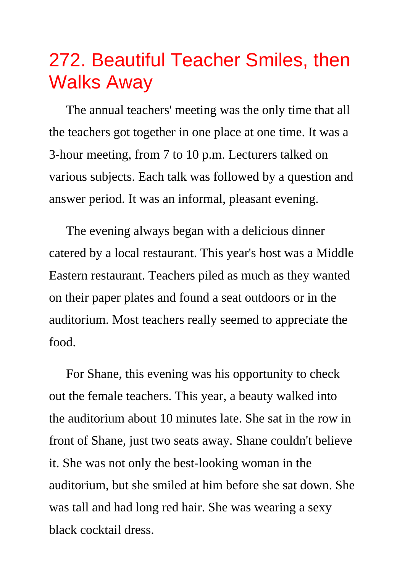## 272. Beautiful Teacher Smiles, then Walks Away

The annual teachers' meeting was the only time that all the teachers got together in one place at one time. It was a 3-hour meeting, from 7 to 10 p.m. Lecturers talked on various subjects. Each talk was followed by a question and answer period. It was an informal, pleasant evening.

The evening always began with a delicious dinner catered by a local restaurant. This year's host was a Middle Eastern restaurant. Teachers piled as much as they wanted on their paper plates and found a seat outdoors or in the auditorium. Most teachers really seemed to appreciate the food.

For Shane, this evening was his opportunity to check out the female teachers. This year, a beauty walked into the auditorium about 10 minutes late. She sat in the row in front of Shane, just two seats away. Shane couldn't believe it. She was not only the best-looking woman in the auditorium, but she smiled at him before she sat down. She was tall and had long red hair. She was wearing a sexy black cocktail dress.